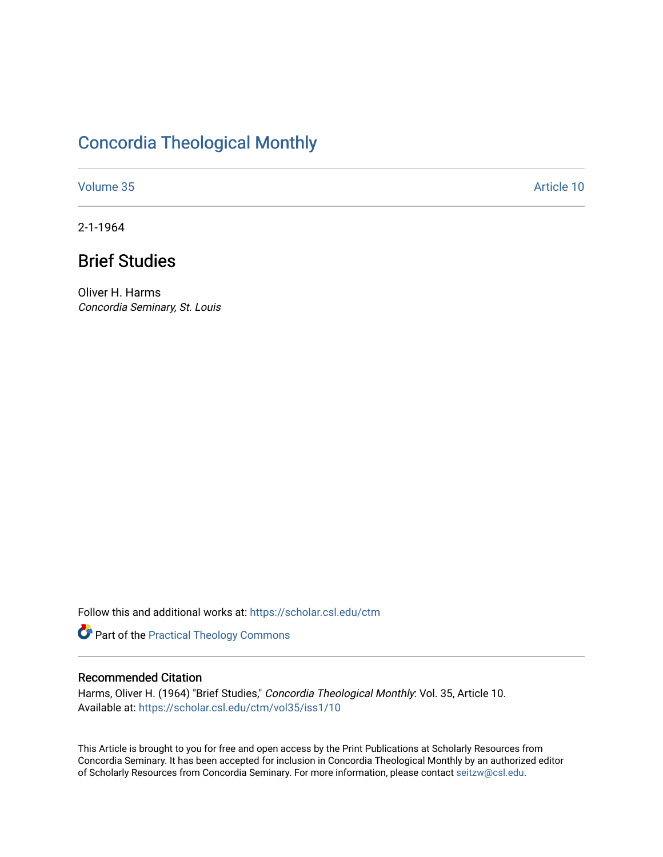# [Concordia Theological Monthly](https://scholar.csl.edu/ctm)

[Volume 35](https://scholar.csl.edu/ctm/vol35) Article 10

2-1-1964

# Brief Studies

Oliver H. Harms Concordia Seminary, St. Louis

Follow this and additional works at: [https://scholar.csl.edu/ctm](https://scholar.csl.edu/ctm?utm_source=scholar.csl.edu%2Fctm%2Fvol35%2Fiss1%2F10&utm_medium=PDF&utm_campaign=PDFCoverPages)

Part of the [Practical Theology Commons](http://network.bepress.com/hgg/discipline/1186?utm_source=scholar.csl.edu%2Fctm%2Fvol35%2Fiss1%2F10&utm_medium=PDF&utm_campaign=PDFCoverPages)

### Recommended Citation

Harms, Oliver H. (1964) "Brief Studies," Concordia Theological Monthly: Vol. 35, Article 10. Available at: [https://scholar.csl.edu/ctm/vol35/iss1/10](https://scholar.csl.edu/ctm/vol35/iss1/10?utm_source=scholar.csl.edu%2Fctm%2Fvol35%2Fiss1%2F10&utm_medium=PDF&utm_campaign=PDFCoverPages) 

This Article is brought to you for free and open access by the Print Publications at Scholarly Resources from Concordia Seminary. It has been accepted for inclusion in Concordia Theological Monthly by an authorized editor of Scholarly Resources from Concordia Seminary. For more information, please contact [seitzw@csl.edu](mailto:seitzw@csl.edu).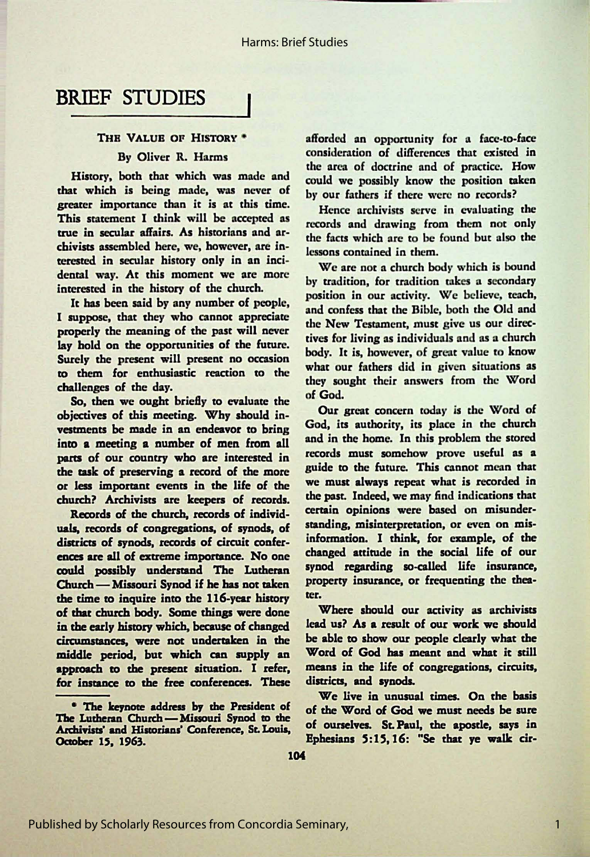## BRIEF STUDIES

### THE VALUE OF HISTORY \*

### By Oliver R. Harms

History, both that which was made and that which is being made, was never of greater importance than it is at this time. This statement I think will be accepted as true in secular affairs. As historians and archivists assembled here, we, however, are interested in secular history only in an incidental way. At this moment we are more interested in the history of the church.

It has been said by any number of people, I **suppose,** that they who cannot appreciate properly the meaning of the past will never lay hold on the opportunities of the future. Surely the present will present no occasion to them for enthusiastic reaction to the challenges of the day.

so, then we ought briefly to evaluate the of God.<br>
So, then we ought briefly to evaluate the our great concern today is the Word of objectives of this meeting. Why should in-<br>were great concern today is the Word of vestments be made in an endeavor to bring God, its authority, its place in the church<br>into a magging a number of man from all and in the home. In this problem the stored into a meeting a number of men from all and in the home. In this problem the stored<br>norm of our country who are integrated in records must somehow prove useful as a parts of our country who are interested in records must somehow prove useful as a<br>the rask of preserving a record of the more suide to the future. This cannot mean that the task of preserving a record of the more guide to the future. This cannot mean that<br>or less important events in the life of the we must always repeat what is recorded in or less important events in the life of the we must always repeat what is recorded in<br>church? Archivists are keepers of records the past. Indeed, we may find indications that

Records of the church, records of individuals, records of congregations, of synods, of standing, misinterpretation, or even on mis-<br>districts of synods records of circuit confer information. I think, for example, of the districts of synods, records of circuit conferences are all of extreme importance. No one changed attitude in the social life of our could possibly understand The Lutheran synod regarding so-called life insurance,<br>Church Missouri Synod if he has not taken property insurance, or frequenting the thea-Church-Missouri Synod if he has not taken the time to inquire into the 116-year history ter. of that church body. Some things were done Where should our activity as archivists<br>in the early history which because of changed lead us? As a result of our work we should in the early history which, because of changed circumstances, were not undertaken in the be able to show our people clearly what the middle period, but which can supply an Word of God has meant and what it still approach to the present situation. I refer, means in the life of congregations, circuits, for imtance to the free conferences. These districts, and synods.

afforded an opportunity for a face-to-face consideration of differences that existed in the area of doctrine and of practice. How could we possibly know the position taken by our fathers if there were no records?

Hence archivists serve in evaluating the records and drawing from them not only the facts which arc *to* be found but also the lessons contained in them.

We are not a church body which is bound by tradition, for tradition takes a secondary position in our activity. We believe, teach, and confess that the Bible, both the Old and the New Testament, must give us our directives for living as individuals and as a church body. It is, however, of great value to know what our fathers did in given situations as they sought their answers from the Word

church? Archivisu **are keepen** of records. the past. Indeed, we may find indications that

\* The keynote address by the President of of the Word of God we must needs be sure

1

**The Lutheran Church-Missouri Synod to the** Archivists' and Historians' Conference, St. Louis, of ourselves. St. Paul, the apostle, says in Oaober 15, 1963. **Ephesians** 5:15, 16: **"Se that ye walk** cir-